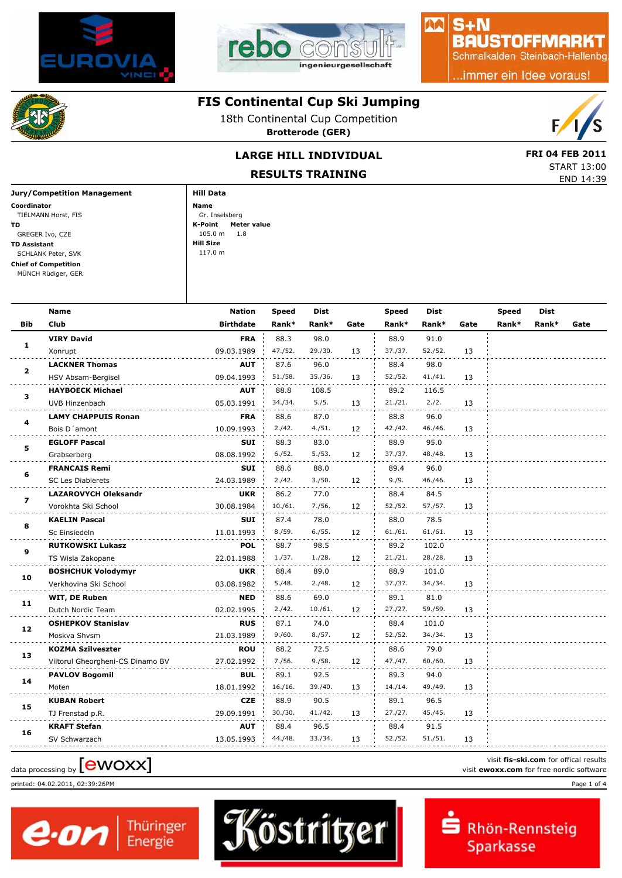



#### $S + N$ **BAUSTOFFMARKT**

小八

Schmalkalden Steinbach-Hallenbg

.immer ein Idee voraus!

#### **FIS Continental Cup Ski Jumping**

18th Continental Cup Competition **Brotterode (GER)**



START 13:00

## LARGE HILL INDIVIDUAL **EXAMPLE 18 FRI 04 FEB 2011**

**RESULTS TRAINING**

|                             | <b>ILLJULIJ IKALIMINU</b> | END 14:39 |
|-----------------------------|---------------------------|-----------|
| Jury/Competition Management | Hill Data                 |           |
| Coordinator                 | Name                      |           |
| TIELMANN Horst, FIS         | Gr. Inselsberg            |           |
| TD                          | Meter value<br>K-Point    |           |
| GREGER Ivo, CZE             | 105.0 <sub>m</sub><br>1.8 |           |
| TD Assistant                | Hill Size                 |           |
| SCHLANK Peter, SVK          | 117.0 m                   |           |
| <b>Chief of Competition</b> |                           |           |
| MÜNCH Rüdiger, GER          |                           |           |
|                             |                           |           |

|                | <b>Name</b>                      | <b>Nation</b>    | <b>Speed</b> | Dist    |      | <b>Speed</b> | <b>Dist</b> |      | Speed | <b>Dist</b> |      |
|----------------|----------------------------------|------------------|--------------|---------|------|--------------|-------------|------|-------|-------------|------|
| <b>Bib</b>     | Club                             | <b>Birthdate</b> | Rank*        | Rank*   | Gate | Rank*        | Rank*       | Gate | Rank* | Rank*       | Gate |
|                | <b>VIRY David</b>                | <b>FRA</b>       | 88.3         | 98.0    |      | 88.9         | 91.0        |      |       |             |      |
| 1              | Xonrupt                          | 09.03.1989       | 47./52.      | 29./30. | 13   | 37./37.      | 52./52.     | 13   |       |             |      |
|                | <b>LACKNER Thomas</b>            | AUT              | 87.6         | 96.0    |      | 88.4         | 98.0        |      |       |             |      |
| $\overline{2}$ | HSV Absam-Bergisel               | 09.04.1993       | 51./58.      | 35./36. | 13   | 52./52.      | 41./41.     | 13   |       |             |      |
| 3              | <b>HAYBOECK Michael</b>          | AUT              | 88.8         | 108.5   |      | 89.2         | 116.5       |      |       |             |      |
|                | UVB Hinzenbach                   | 05.03.1991       | 34./34.      | 5./5.   | 13   | 21./21.      | 2./2.       | 13   |       |             |      |
| 4              | <b>LAMY CHAPPUIS Ronan</b>       | <b>FRA</b>       | 88.6         | 87.0    |      | 88.8         | 96.0        |      |       |             |      |
|                | Bois D'amont                     | 10.09.1993       | 2./42.       | 4./51.  | 12   | 42./42.      | 46./46.     | 13   |       |             |      |
| 5              | <b>EGLOFF Pascal</b>             | <b>SUI</b>       | 88.3         | 83.0    |      | 88.9         | 95.0        |      |       |             |      |
|                | Grabserberg                      | 08.08.1992       | 6./52.       | 5./53.  | 12   | 37./37.      | 48./48.     | 13   |       |             |      |
| 6              | <b>FRANCAIS Remi</b>             | <b>SUI</b>       | 88.6         | 88.0    |      | 89.4         | 96.0        |      |       |             |      |
|                | <b>SC Les Diablerets</b>         | 24.03.1989       | 2./42.       | 3./50.  | 12   | 9./9.        | 46./46.     | 13   |       |             |      |
| $\overline{ }$ | <b>LAZAROVYCH Oleksandr</b>      | <b>UKR</b>       | 86.2         | 77.0    |      | 88.4         | 84.5        |      |       |             |      |
|                | Vorokhta Ski School              | 30.08.1984       | 10./61.      | 7./56.  | 12   | 52./52.      | 57./57.     | 13   |       |             |      |
| 8              | <b>KAELIN Pascal</b>             | <b>SUI</b>       | 87.4         | 78.0    |      | 88.0         | 78.5        |      |       |             |      |
|                | Sc Einsiedeln                    | 11.01.1993       | 8./59.       | 6./55.  | 12   | 61./61.      | 61./61.     | 13   |       |             |      |
| 9              | <b>RUTKOWSKI Lukasz</b>          | <b>POL</b>       | 88.7         | 98.5    |      | 89.2         | 102.0       |      |       |             |      |
|                | TS Wisla Zakopane                | 22.01.1988       | 1./37.       | 1./28.  | 12   | 21./21.      | 28./28.     | 13   |       |             |      |
| 10             | <b>BOSHCHUK Volodymyr</b>        | <b>UKR</b>       | 88.4         | 89.0    |      | 88.9         | 101.0       |      |       |             |      |
|                | Verkhovina Ski School            | 03.08.1982       | 5./48.       | 2./48.  | 12   | 37./37.      | 34./34.     | 13   |       |             |      |
| 11             | WIT, DE Ruben                    | <b>NED</b>       | 88.6         | 69.0    |      | 89.1         | 81.0        |      |       |             |      |
|                | Dutch Nordic Team                | 02.02.1995       | 2./42.       | 10./61. | 12   | 27./27.      | 59./59.     | 13   |       |             |      |
| 12             | <b>OSHEPKOV Stanislav</b>        | <b>RUS</b>       | 87.1         | 74.0    |      | 88.4         | 101.0       |      |       |             |      |
|                | Moskva Shvsm                     | 21.03.1989       | 9./60.       | 8./57.  | 12   | 52./52.      | 34./34.     | 13   |       |             |      |
| 13             | <b>KOZMA Szilveszter</b>         | <b>ROU</b>       | 88.2         | 72.5    |      | 88.6         | 79.0        |      |       |             |      |
|                | Viitorul Gheorgheni-CS Dinamo BV | 27.02.1992       | 7./56.       | 9./58.  | 12   | 47./47.      | 60./60.     | 13   |       |             |      |
| 14             | <b>PAVLOV Bogomil</b>            | <b>BUL</b>       | 89.1         | 92.5    |      | 89.3         | 94.0        |      |       |             |      |
|                | Moten                            | 18.01.1992       | 16./16.      | 39./40. | 13   | 14./14.      | 49./49.     | 13   |       |             |      |
| 15             | <b>KUBAN Robert</b>              | <b>CZE</b>       | 88.9         | 90.5    |      | 89.1         | 96.5        |      |       |             |      |
|                | TJ Frenstad p.R.                 | 29.09.1991       | 30./30.      | 41./42. | 13   | 27./27.      | 45./45.     | 13   |       |             |      |
| 16             | <b>KRAFT Stefan</b>              | <b>AUT</b>       | 88.4         | 96.5    |      | 88.4         | 91.5        |      |       |             |      |
|                | SV Schwarzach                    | 13.05.1993       | 44./48.      | 33./34. | 13   | 52./52.      | 51./51.     | 13   |       |             |      |

printed: 04.02.2011, 02:39:26PM Page 1 of 4

e.on



Rhön-Rennsteig Sparkasse

visit **fis-ski.com** for offical results data processing by **CWOXX** wisit **ewoxx.com** for offical results<br>visit **ewoxx.com** for free nordic software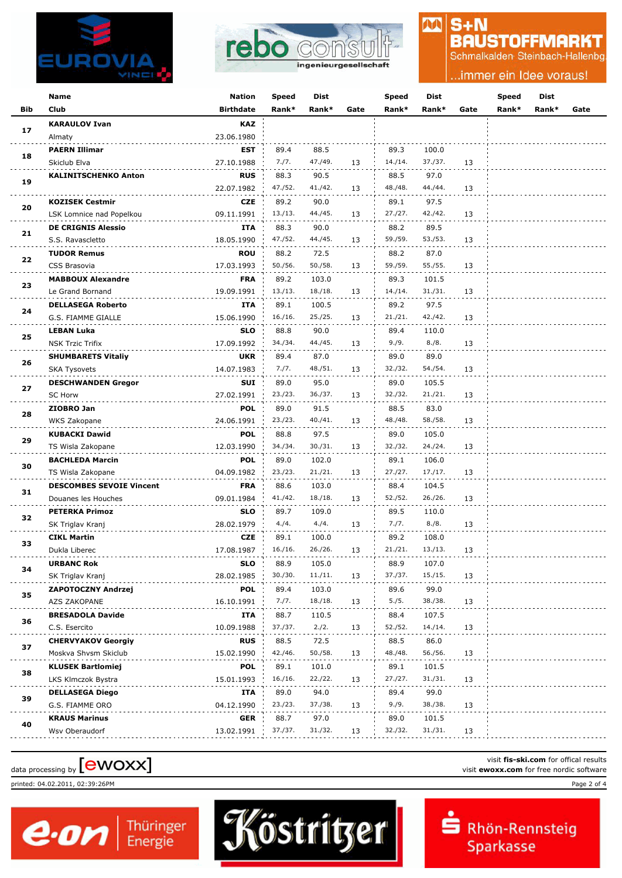



### $S + N$ **BAUSTOFFMARKT**

M

Schmalkalden Steinbach-Hallenbg

.immer ein Idee voraus!

|     | Name                            | <b>Nation</b>    | Speed                       | Dist                                      |      | Speed   | Dist    |      | Speed | Dist  |      |
|-----|---------------------------------|------------------|-----------------------------|-------------------------------------------|------|---------|---------|------|-------|-------|------|
| Bib | Club                            | <b>Birthdate</b> | Rank*                       | Rank*                                     | Gate | Rank*   | Rank*   | Gate | Rank* | Rank* | Gate |
|     | <b>KARAULOV Ivan</b>            | <b>KAZ</b>       |                             |                                           |      |         |         |      |       |       |      |
| 17  | Almaty                          | 23.06.1980       |                             |                                           |      |         |         |      |       |       |      |
|     | <b>PAERN Illimar</b>            | EST              | 89.4                        | 88.5                                      |      | 89.3    | 100.0   |      |       |       |      |
| 18  | Skiclub Elva                    | 27.10.1988       | 7./7.                       | 47./49.                                   | 13   | 14./14. | 37./37. | 13   |       |       |      |
|     | <b>KALINITSCHENKO Anton</b>     | <b>RUS</b>       | 88.3                        | 90.5                                      |      | 88.5    | 97.0    |      |       |       |      |
| 19  |                                 | 22.07.1982       | 47./52.                     | 41./42.                                   | 13   | 48./48. | 44./44. | 13   |       |       |      |
|     | <b>KOZISEK Cestmir</b>          | <b>CZE</b>       | 89.2                        | 90.0                                      |      | 89.1    | 97.5    |      |       |       |      |
| 20  | LSK Lomnice nad Popelkou        | 09.11.1991       | 13./13.                     | 44./45.                                   | 13   | 27./27. | 42./42. | 13   |       |       |      |
|     | <b>DE CRIGNIS Alessio</b>       | ITA              | 88.3                        | 90.0                                      |      | 88.2    | 89.5    |      |       |       |      |
| 21  | S.S. Ravascletto                | 18.05.1990       | 47./52.                     | 44./45.                                   | 13   | 59./59. | 53./53. | 13   |       |       |      |
|     | <b>TUDOR Remus</b>              | <b>ROU</b>       | 88.2                        | 72.5                                      |      | 88.2    | 87.0    |      |       |       |      |
| 22  | CSS Brasovia                    | 17.03.1993       | 50./56.                     | 59./59.<br>55./55.<br>50./58.<br>13<br>13 |      |         |         |      |       |       |      |
|     | <b>MABBOUX Alexandre</b>        | <b>FRA</b>       | 89.2                        | 103.0                                     |      | 89.3    | 101.5   |      |       |       |      |
| 23  | Le Grand Bornand                | 19.09.1991       | 13./13.                     | 18./18.                                   | 13   | 14./14. | 31./31. | 13   |       |       |      |
|     | <b>DELLASEGA Roberto</b>        | <b>ITA</b>       | 89.1                        | 100.5                                     |      | 89.2    | 97.5    |      |       |       |      |
| 24  | G.S. FIAMME GIALLE              | 15.06.1990       | 16./16.                     | 25./25.                                   | 13   | 21./21. | 42./42. | 13   |       |       |      |
|     | <b>LEBAN Luka</b>               | <b>SLO</b>       | 88.8                        | 90.0                                      |      | 89.4    | 110.0   |      |       |       |      |
| 25  | <b>NSK Trzic Trifix</b>         | 17.09.1992       | 34./34.                     | 44./45.                                   | 13   | 9./9.   | 8./8.   | 13   |       |       |      |
|     |                                 | <b>UKR</b>       | 89.4                        | 87.0                                      |      | 89.0    | 89.0    |      |       |       |      |
| 26  | <b>SHUMBARETS Vitaliy</b>       |                  | 7./7.                       | 48./51.                                   |      | 32./32. | 54./54. |      |       |       |      |
|     | <b>SKA Tysovets</b>             | 14.07.1983       |                             |                                           | 13   |         |         | 13   |       |       |      |
| 27  | <b>DESCHWANDEN Gregor</b>       | SUI              | 89.0                        | 95.0                                      |      | 89.0    | 105.5   |      |       |       |      |
|     | <b>SC Horw</b>                  | 27.02.1991       | 23./23.                     | 36./37.                                   | 13   | 32./32. | 21./21. | 13   |       |       |      |
| 28  | ZIOBRO Jan                      | <b>POL</b>       | 89.0                        | 91.5                                      |      | 88.5    | 83.0    |      |       |       |      |
|     | WKS Zakopane                    | 24.06.1991       | 23./23.                     | 40./41.                                   | 13   | 48./48. | 58./58. | 13   |       |       |      |
| 29  | <b>KUBACKI Dawid</b>            | <b>POL</b>       | 88.8                        | 97.5                                      |      | 89.0    | 105.0   |      |       |       |      |
|     | TS Wisla Zakopane               | 12.03.1990       | 34./34.                     | 30./31.                                   | 13   | 32./32. | 24./24. | 13   |       |       |      |
| 30  | <b>BACHLEDA Marcin</b>          |                  | <b>POL</b><br>89.0<br>102.0 |                                           |      | 89.1    | 106.0   |      |       |       |      |
|     | TS Wisla Zakopane               | 04.09.1982       | 23./23.                     | 21./21.                                   | 13   | 27./27. | 17./17. | 13   |       |       |      |
| 31  | <b>DESCOMBES SEVOIE Vincent</b> | <b>FRA</b>       | 88.6                        | 103.0                                     |      | 88.4    | 104.5   |      |       |       |      |
|     | Douanes les Houches             | 09.01.1984       | 41./42.                     | 18./18.                                   | 13   | 52./52. | 26./26. | 13   |       |       |      |
| 32  | <b>PETERKA Primoz</b>           | <b>SLO</b>       | 89.7                        | 109.0                                     |      | 89.5    | 110.0   |      |       |       |      |
|     | SK Triglav Kranj                | 28.02.1979       | 4./4.                       | 4./4.                                     | 13   | 7./7.   | 8./8.   | 13   |       |       |      |
| 33  | <b>CIKL Martin</b>              | <b>CZE</b>       | 89.1                        | 100.0                                     |      | 89.2    | 108.0   |      |       |       |      |
|     | Dukla Liberec                   | 17.08.1987       | 16./16.                     | 26./26.                                   | 13   | 21./21. | 13./13. | 13   |       |       |      |
| 34  | <b>URBANC Rok</b>               | <b>SLO</b>       | 88.9                        | 105.0                                     |      | 88.9    | 107.0   |      |       |       |      |
|     | SK Triglav Kranj                | 28.02.1985       | 30./30.                     | 11./11.                                   | 13   | 37./37. | 15./15. | 13   |       |       |      |
| 35  | ZAPOTOCZNY Andrzej              | <b>POL</b>       | 89.4                        | 103.0                                     |      | 89.6    | 99.0    |      |       |       |      |
|     | AZS ZAKOPANE                    | 16.10.1991       | 7./7.                       | 18./18.                                   | 13   | 5./5.   | 38./38. | 13   |       |       |      |
| 36  | <b>BRESADOLA Davide</b>         | ITA              | 88.7                        | 110.5                                     |      | 88.4    | 107.5   |      |       |       |      |
|     | C.S. Esercito                   | 10.09.1988       | 37./37.                     | 2./2.                                     | 13   | 52./52. | 14./14. | 13   |       |       |      |
| 37  | <b>CHERVYAKOV Georgiy</b>       | <b>RUS</b>       | 88.5                        | 72.5                                      |      | 88.5    | 86.0    |      |       |       |      |
|     | Moskva Shvsm Skiclub            | 15.02.1990       | 42./46.                     | 50./58.                                   | 13   | 48./48. | 56./56. | 13   |       |       |      |
| 38  | <b>KLUSEK Bartlomiej</b>        | <b>POL</b>       | 89.1                        | 101.0                                     |      | 89.1    | 101.5   |      |       |       |      |
|     | LKS Klmczok Bystra              | 15.01.1993       | 16./16.                     | 22./22.                                   | 13   | 27./27. | 31./31. | 13   |       |       |      |
|     | <b>DELLASEGA Diego</b>          | ITA              | 89.0                        | 94.0                                      |      | 89.4    | 99.0    |      |       |       |      |
| 39  | G.S. FIAMME ORO                 | 04.12.1990       | 23./23.                     | 37./38.                                   | 13   | 9./9.   | 38./38. | 13   |       |       |      |
|     | <b>KRAUS Marinus</b>            | <b>GER</b>       | 88.7                        | 97.0                                      |      | 89.0    | 101.5   |      |       |       |      |
| 40  | Wsv Oberaudorf                  | 13.02.1991       | 37./37.                     | 31./32.                                   | 13   | 32./32. | 31./31. | 13   |       |       |      |
|     |                                 |                  |                             |                                           |      |         |         |      |       |       |      |

# visit fis-ski.com for offical results<br>visit **ewoxx.com** for free nordic software<br>visit **ewoxx.com** for free nordic software

printed: 04.02.2011, 02:39:26PM Page 2 of 4



Rhön-Rennsteig Sparkasse

visit **fis-ski.com** for offical results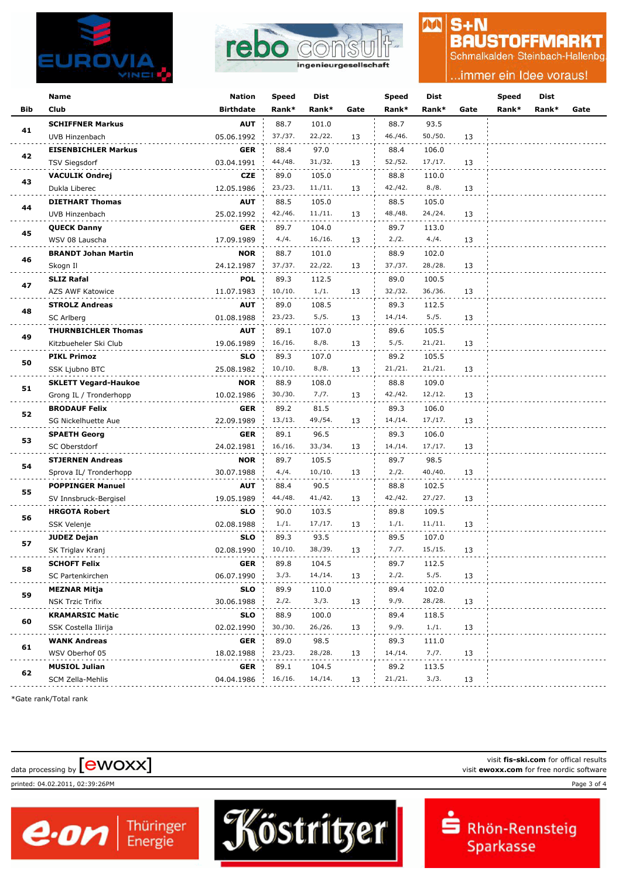



#### $S + N$ **BAUSTOFFMARKT**

AA

Schmalkalden Steinbach-Hallenbg

#### .immer ein Idee voraus!

|            | Name                        | <b>Nation</b>    | <b>Speed</b> | Dist    |      | <b>Speed</b> | Dist    |      | Speed | <b>Dist</b> |      |
|------------|-----------------------------|------------------|--------------|---------|------|--------------|---------|------|-------|-------------|------|
| <b>Bib</b> | Club                        | <b>Birthdate</b> | Rank*        | Rank*   | Gate | Rank*        | Rank*   | Gate | Rank* | Rank*       | Gate |
|            | <b>SCHIFFNER Markus</b>     | <b>AUT</b>       | 88.7         | 101.0   |      | 88.7         | 93.5    |      |       |             |      |
| 41         | UVB Hinzenbach              | 05.06.1992       | 37./37.      | 22./22. | 13   | 46./46.      | 50./50. | 13   |       |             |      |
|            | <b>EISENBICHLER Markus</b>  | GER              | 88.4         | 97.0    |      | 88.4         | 106.0   |      |       |             |      |
| 42         | <b>TSV Siegsdorf</b>        | 03.04.1991       | 44./48.      | 31./32. | 13   | 52./52.      | 17./17. | 13   |       |             |      |
|            | <b>VACULIK Ondrej</b>       | <b>CZE</b>       | 89.0         | 105.0   |      | 88.8         | 110.0   |      |       |             |      |
| 43         | Dukla Liberec               | 12.05.1986       | 23./23.      | 11./11. | 13   | 42./42.      | 8./8.   | 13   |       |             |      |
|            | <b>DIETHART Thomas</b>      | <b>AUT</b>       | 88.5         | 105.0   |      | 88.5         | 105.0   |      |       |             |      |
| 44         | UVB Hinzenbach              | 25.02.1992       | 42./46.      | 11./11. | 13   | 48./48.      | 24./24. | 13   |       |             |      |
|            | <b>QUECK Danny</b>          | GER              | 89.7         | 104.0   |      | 89.7         | 113.0   |      |       |             |      |
| 45         | WSV 08 Lauscha              | 17.09.1989       | 4./4.        | 16./16. | 13   | 2./2.        | 4./4.   | 13   |       |             |      |
| 46         | <b>BRANDT Johan Martin</b>  | <b>NOR</b>       | 88.7         | 101.0   |      | 88.9         | 102.0   |      |       |             |      |
|            | Skogn Il                    | 24.12.1987       | 37./37.      | 22./22. | 13   | 37./37.      | 28./28. | 13   |       |             |      |
| 47         | <b>SLIZ Rafal</b>           | <b>POL</b>       | 89.3         | 112.5   |      | 89.0         | 100.5   |      |       |             |      |
|            | AZS AWF Katowice            | 11.07.1983       | 10./10.      | 1./1.   | 13   | 32./32.      | 36./36. | 13   |       |             |      |
| 48         | <b>STROLZ Andreas</b>       | AUT              | 89.0         | 108.5   |      | 89.3         | 112.5   |      |       |             |      |
|            | SC Arlberg                  | 01.08.1988       | 23./23.      | 5./5.   | 13   | 14./14.      | 5./5.   | 13   |       |             |      |
| 49         | <b>THURNBICHLER Thomas</b>  | AUT              | 89.1         | 107.0   |      | 89.6         | 105.5   |      |       |             |      |
|            | Kitzbueheler Ski Club       | 19.06.1989       | 16./16.      | 8./8.   | 13   | 5./5.        | 21./21. | 13   |       |             |      |
| 50         | <b>PIKL Primoz</b>          | <b>SLO</b>       | 89.3         | 107.0   |      | 89.2         | 105.5   |      |       |             |      |
|            | SSK Ljubno BTC              | 25.08.1982       | 10./10.      | 8./8.   | 13   | 21./21.      | 21./21. | 13   |       |             |      |
| 51         | <b>SKLETT Vegard-Haukoe</b> | <b>NOR</b>       | 88.9         | 108.0   |      | 88.8         | 109.0   |      |       |             |      |
|            | Grong IL / Tronderhopp      | 10.02.1986       | 30./30.      | 7./7.   | 13   | 42./42.      | 12./12. | 13   |       |             |      |
| 52         | <b>BRODAUF Felix</b>        | <b>GER</b>       | 89.2         | 81.5    |      | 89.3         | 106.0   |      |       |             |      |
|            | SG Nickelhuette Aue         | 22.09.1989       | 13./13.      | 49./54. | 13   | 14./14.      | 17./17. | 13   |       |             |      |
| 53         | <b>SPAETH Georg</b>         | <b>GER</b>       | 89.1         | 96.5    |      | 89.3         | 106.0   |      |       |             |      |
|            | SC Oberstdorf               | 24.02.1981       | 16./16.      | 33./34. | 13   | 14./14.      | 17./17. | 13   |       |             |      |
| 54         | <b>STJERNEN Andreas</b>     | <b>NOR</b>       | 89.7         | 105.5   |      | 89.7         | 98.5    |      |       |             |      |
|            | Sprova IL/ Tronderhopp      | 30.07.1988       | 4./4.        | 10./10. | 13   | 2./2.        | 40./40. | 13   |       |             |      |
| 55         | <b>POPPINGER Manuel</b>     | <b>AUT</b>       | 88.4         | 90.5    |      | 88.8         | 102.5   |      |       |             |      |
|            | SV Innsbruck-Bergisel       | 19.05.1989       | 44./48.      | 41./42. | 13   | 42./42.      | 27./27. | 13   |       |             |      |
| 56         | <b>HRGOTA Robert</b>        | SLO              | 90.0         | 103.5   |      | 89.8         | 109.5   |      |       |             |      |
|            | SSK Velenje                 | 02.08.1988       | 1./1.        | 17./17. | 13   | 1./1.        | 11./11. | 13   |       |             |      |
| 57         | <b>JUDEZ Dejan</b>          | SLO              | 89.3         | 93.5    |      | 89.5         | 107.0   |      |       |             |      |
|            | SK Triglav Kranj            | 02.08.1990       | 10./10.      | 38./39. | 13   | 7./7.        | 15./15. | 13   |       |             |      |
| 58         | <b>SCHOFT Felix</b>         | GER              | 89.8         | 104.5   |      | 89.7         | 112.5   |      |       |             |      |
|            | SC Partenkirchen            | 06.07.1990       | 3./3.        | 14./14. | 13   | 2./2.        | 5./5.   | 13   |       |             |      |
| 59         | <b>MEZNAR Mitja</b>         | SLO              | 89.9         | 110.0   |      | 89.4         | 102.0   |      |       |             |      |
|            | NSK Trzic Trifix            | 30.06.1988       | 2./2.        | 3./3.   | 13   | 9./9.        | 28./28. | 13   |       |             |      |
| 60         | <b>KRAMARSIC Matic</b>      | SLO              | 88.9         | 100.0   |      | 89.4         | 118.5   |      |       |             |      |
|            | SSK Costella Ilirija        | 02.02.1990       | 30./30.      | 26./26. | 13   | 9./9.        | 1./1.   | 13   |       |             |      |
| 61         | <b>WANK Andreas</b>         | <b>GER</b>       | 89.0         | 98.5    |      | 89.3         | 111.0   |      |       |             |      |
|            | WSV Oberhof 05              | 18.02.1988       | 23./23.      | 28./28. | 13   | 14./14.      | 7./7.   | 13   |       |             |      |
| 62         | <b>MUSIOL Julian</b>        | GER              | 89.1         | 104.5   |      | 89.2         | 113.5   |      |       |             |      |
|            | SCM Zella-Mehlis            | 04.04.1986       | 16./16.      | 14./14. | 13   | 21./21.      | 3./3.   | 13   |       |             |      |

Köstritzer

\*Gate rank/Total rank

visit fis-ski.com for offical results<br>visit **ewoxx.com** for free nordic software<br>visit **ewoxx.com** for free nordic software

 $\boldsymbol{e}$  on  $\vert$ <sup>Thüringer</sup>

printed: 04.02.2011, 02:39:26PM Page 3 of 4



visit **fis-ski.com** for offical results